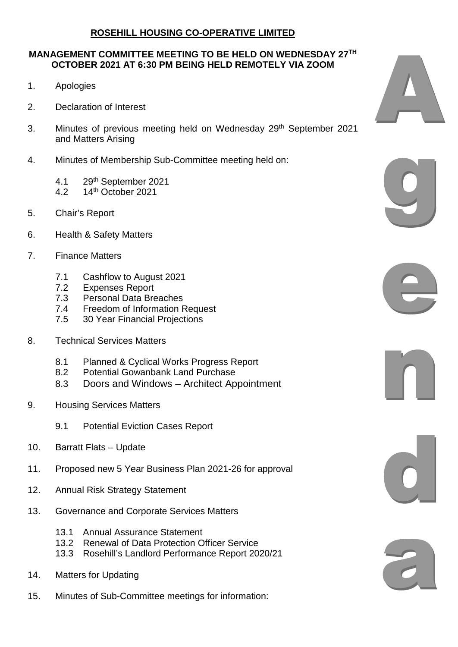## **ROSEHILL HOUSING CO-OPERATIVE LIMITED**

## **MANAGEMENT COMMITTEE MEETING TO BE HELD ON WEDNESDAY 27TH OCTOBER 2021 AT 6:30 PM BEING HELD REMOTELY VIA ZOOM**

- 1. Apologies
- 2. Declaration of Interest
- 3. Minutes of previous meeting held on Wednesday 29<sup>th</sup> September 2021 and Matters Arising
- 4. Minutes of Membership Sub-Committee meeting held on:
	- 4.1 29th September 2021
	- 4.2 14th October 2021
- 5. Chair's Report
- 6. Health & Safety Matters
- 7. Finance Matters
	- 7.1 Cashflow to August 2021
	- 7.2 Expenses Report
	- 7.3 Personal Data Breaches
	- 7.4 Freedom of Information Request
	- 7.5 30 Year Financial Projections
- 8. Technical Services Matters
	- 8.1 Planned & Cyclical Works Progress Report
	- 8.2 Potential Gowanbank Land Purchase
	- 8.3 Doors and Windows Architect Appointment
- 9. Housing Services Matters
	- 9.1 Potential Eviction Cases Report
- 10. Barratt Flats Update
- 11. Proposed new 5 Year Business Plan 2021-26 for approval
- 12. Annual Risk Strategy Statement
- 13. Governance and Corporate Services Matters
	- 13.1 Annual Assurance Statement
	- 13.2 Renewal of Data Protection Officer Service
	- 13.3 Rosehill's Landlord Performance Report 2020/21
- 14. Matters for Updating
- 15. Minutes of Sub-Committee meetings for information: